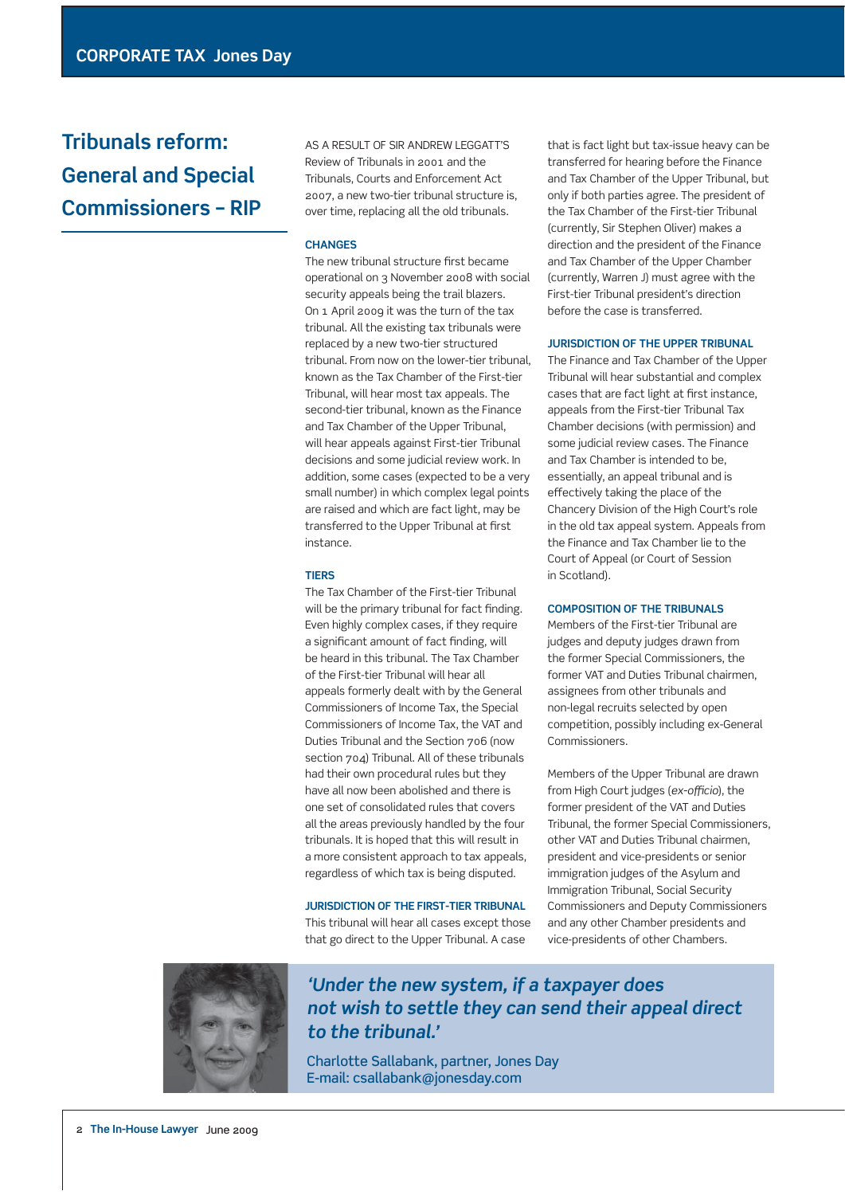# **Tribunals reform: General and Special Commissioners – RIP**

 AS A RESULT OF SIR ANDREW LEGGATT'S Review of Tribunals in 2001 and the Tribunals, Courts and Enforcement Act 2007, a new two-tier tribunal structure is, over time, replacing all the old tribunals.

## **CHANGES**

The new tribunal structure first became operational on 3 November 2008 with social security appeals being the trail blazers. On 1 April 2009 it was the turn of the tax tribunal. All the existing tax tribunals were replaced by a new two-tier structured tribunal. From now on the lower-tier tribunal, known as the Tax Chamber of the First-tier Tribunal, will hear most tax appeals. The second-tier tribunal, known as the Finance and Tax Chamber of the Upper Tribunal, will hear appeals against First-tier Tribunal decisions and some judicial review work. In addition, some cases (expected to be a very small number) in which complex legal points are raised and which are fact light, may be transferred to the Upper Tribunal at first instance.

#### **TIERS**

 The Tax Chamber of the First-tier Tribunal will be the primary tribunal for fact finding. Even highly complex cases, if they require a significant amount of fact finding, will be heard in this tribunal. The Tax Chamber of the First-tier Tribunal will hear all appeals formerly dealt with by the General Commissioners of Income Tax, the Special Commissioners of Income Tax, the VAT and Duties Tribunal and the Section 706 (now section 704) Tribunal. All of these tribunals had their own procedural rules but they have all now been abolished and there is one set of consolidated rules that covers all the areas previously handled by the four tribunals. It is hoped that this will result in a more consistent approach to tax appeals, regardless of which tax is being disputed.

 **JURISDICTION OF THE FIRST-TIER TRIBUNAL**  This tribunal will hear all cases except those that go direct to the Upper Tribunal. A case

that is fact light but tax-issue heavy can be transferred for hearing before the Finance and Tax Chamber of the Upper Tribunal, but only if both parties agree. The president of the Tax Chamber of the First-tier Tribunal (currently, Sir Stephen Oliver) makes a direction and the president of the Finance and Tax Chamber of the Upper Chamber (currently, Warren J) must agree with the First-tier Tribunal president's direction before the case is transferred.

#### **JURISDICTION OF THE UPPER TRIBUNAL**

 The Finance and Tax Chamber of the Upper Tribunal will hear substantial and complex cases that are fact light at first instance, appeals from the First-tier Tribunal Tax Chamber decisions (with permission) and some judicial review cases. The Finance and Tax Chamber is intended to be, essentially, an appeal tribunal and is effectively taking the place of the Chancery Division of the High Court's role in the old tax appeal system. Appeals from the Finance and Tax Chamber lie to the Court of Appeal (or Court of Session in Scotland).

#### **COMPOSITION OF THE TRIBUNALS**

 Members of the First-tier Tribunal are judges and deputy judges drawn from the former Special Commissioners, the former VAT and Duties Tribunal chairmen, assignees from other tribunals and non-legal recruits selected by open competition, possibly including ex-General Commissioners.

 Members of the Upper Tribunal are drawn from High Court judges (ex-officio), the former president of the VAT and Duties Tribunal, the former Special Commissioners, other VAT and Duties Tribunal chairmen, president and vice-presidents or senior immigration judges of the Asylum and Immigration Tribunal, Social Security Commissioners and Deputy Commissioners and any other Chamber presidents and vice-presidents of other Chambers.



# *'Under the new system, if a taxpayer does not wish to settle they can send their appeal direct to the tribunal.'*

Charlotte Sallabank, partner, Jones Day E-mail: csallabank@jonesday.com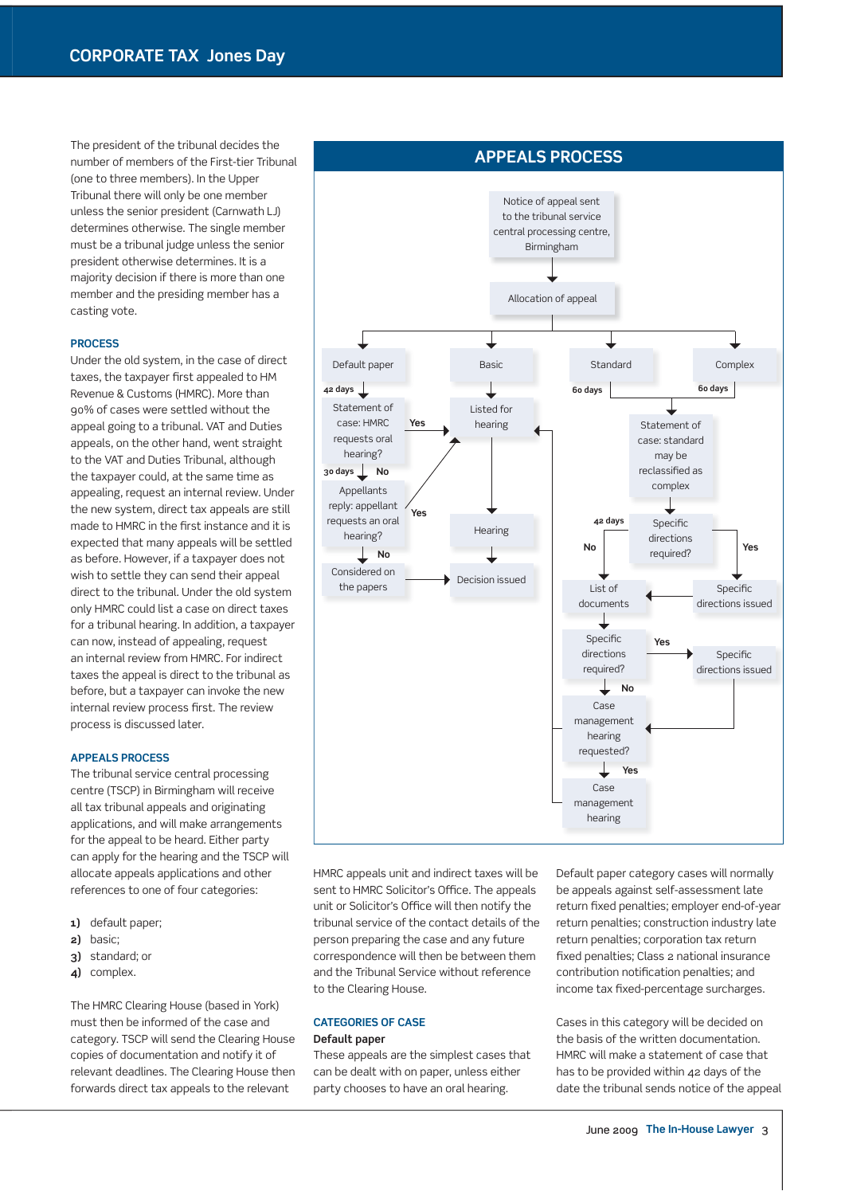The president of the tribunal decides the number of members of the First-tier Tribunal (one to three members). In the Upper Tribunal there will only be one member unless the senior president (Carnwath LJ) determines otherwise. The single member must be a tribunal judge unless the senior president otherwise determines. It is a majority decision if there is more than one member and the presiding member has a casting vote.

#### **PROCESS**

 Under the old system, in the case of direct taxes, the taxpayer first appealed to HM Revenue & Customs (HMRC). More than 90% of cases were settled without the appeal going to a tribunal. VAT and Duties appeals, on the other hand, went straight to the VAT and Duties Tribunal, although the taxpayer could, at the same time as appealing, request an internal review. Under the new system, direct tax appeals are still made to HMRC in the first instance and it is expected that many appeals will be settled as before. However, if a taxpayer does not wish to settle they can send their appeal direct to the tribunal. Under the old system only HMRC could list a case on direct taxes for a tribunal hearing. In addition, a taxpayer can now, instead of appealing, request an internal review from HMRC. For indirect taxes the appeal is direct to the tribunal as before, but a taxpayer can invoke the new internal review process first. The review process is discussed later.

#### **APPEALS PROCESS**

 The tribunal service central processing centre (TSCP) in Birmingham will receive all tax tribunal appeals and originating applications, and will make arrangements for the appeal to be heard. Either party can apply for the hearing and the TSCP will allocate appeals applications and other references to one of four categories:

- **1)** default paper;
- **2)** basic;
- **3)** standard; or
- **4)** complex.

 The HMRC Clearing House (based in York) must then be informed of the case and category. TSCP will send the Clearing House copies of documentation and notify it of relevant deadlines. The Clearing House then forwards direct tax appeals to the relevant



HMRC appeals unit and indirect taxes will be sent to HMRC Solicitor's Office. The appeals unit or Solicitor's Office will then notify the tribunal service of the contact details of the person preparing the case and any future correspondence will then be between them and the Tribunal Service without reference to the Clearing House.

## **CATEGORIES OF CASE Default paper**

 These appeals are the simplest cases that can be dealt with on paper, unless either party chooses to have an oral hearing.

Default paper category cases will normally be appeals against self-assessment late return fixed penalties; employer end-of-year return penalties; construction industry late return penalties; corporation tax return fixed penalties; Class 2 national insurance contribution notification penalties; and income tax fixed-percentage surcharges.

 Cases in this category will be decided on the basis of the written documentation. HMRC will make a statement of case that has to be provided within 42 days of the date the tribunal sends notice of the appeal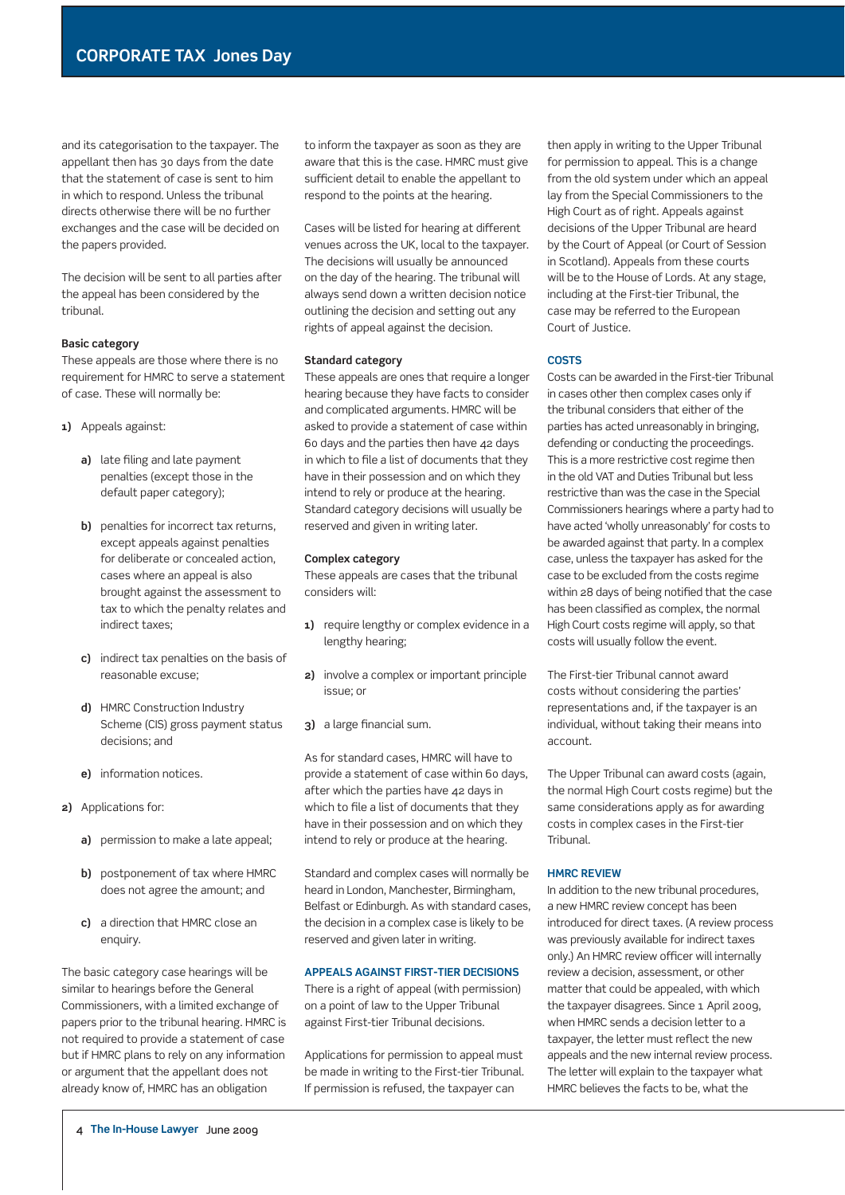and its categorisation to the taxpayer. The appellant then has 30 days from the date that the statement of case is sent to him in which to respond. Unless the tribunal directs otherwise there will be no further exchanges and the case will be decided on the papers provided.

 The decision will be sent to all parties after the appeal has been considered by the tribunal.

#### **Basic category**

 These appeals are those where there is no requirement for HMRC to serve a statement of case. These will normally be:

- **1)** Appeals against:
	- **a)** late filing and late payment penalties (except those in the default paper category);
	- **b)** penalties for incorrect tax returns, except appeals against penalties for deliberate or concealed action, cases where an appeal is also brought against the assessment to tax to which the penalty relates and indirect taxes;
	- **c)** indirect tax penalties on the basis of reasonable excuse;
	- **d)** HMRC Construction Industry Scheme (CIS) gross payment status decisions; and
	- **e)** information notices.
- **2)** Applications for:
	- **a)** permission to make a late appeal;
	- **b)** postponement of tax where HMRC does not agree the amount; and
	- **c)** a direction that HMRC close an enquiry.

 The basic category case hearings will be similar to hearings before the General Commissioners, with a limited exchange of papers prior to the tribunal hearing. HMRC is not required to provide a statement of case but if HMRC plans to rely on any information or argument that the appellant does not already know of, HMRC has an obligation

to inform the taxpayer as soon as they are aware that this is the case. HMRC must give sufficient detail to enable the appellant to respond to the points at the hearing.

Cases will be listed for hearing at different venues across the UK, local to the taxpayer. The decisions will usually be announced on the day of the hearing. The tribunal will always send down a written decision notice outlining the decision and setting out any rights of appeal against the decision.

#### **Standard category**

 These appeals are ones that require a longer hearing because they have facts to consider and complicated arguments. HMRC will be asked to provide a statement of case within 60 days and the parties then have 42 days in which to file a list of documents that they have in their possession and on which they intend to rely or produce at the hearing. Standard category decisions will usually be reserved and given in writing later.

#### **Complex category**

 These appeals are cases that the tribunal considers will:

- **1)** require lengthy or complex evidence in a lengthy hearing;
- **2)** involve a complex or important principle issue; or
- **3)** a large financial sum.

 As for standard cases, HMRC will have to provide a statement of case within 60 days, after which the parties have 42 days in which to file a list of documents that they have in their possession and on which they intend to rely or produce at the hearing.

 Standard and complex cases will normally be heard in London, Manchester, Birmingham, Belfast or Edinburgh. As with standard cases, the decision in a complex case is likely to be reserved and given later in writing.

# **APPEALS AGAINST FIRST-TIER DECISIONS**

 There is a right of appeal (with permission) on a point of law to the Upper Tribunal against First-tier Tribunal decisions.

 Applications for permission to appeal must be made in writing to the First-tier Tribunal. If permission is refused, the taxpayer can

then apply in writing to the Upper Tribunal for permission to appeal. This is a change from the old system under which an appeal lay from the Special Commissioners to the High Court as of right. Appeals against decisions of the Upper Tribunal are heard by the Court of Appeal (or Court of Session in Scotland). Appeals from these courts will be to the House of Lords. At any stage, including at the First-tier Tribunal, the case may be referred to the European Court of Justice.

#### **COSTS**

 Costs can be awarded in the First-tier Tribunal in cases other then complex cases only if the tribunal considers that either of the parties has acted unreasonably in bringing, defending or conducting the proceedings. This is a more restrictive cost regime then in the old VAT and Duties Tribunal but less restrictive than was the case in the Special Commissioners hearings where a party had to have acted 'wholly unreasonably' for costs to be awarded against that party. In a complex case, unless the taxpayer has asked for the case to be excluded from the costs regime within 28 days of being notified that the case has been classified as complex, the normal High Court costs regime will apply, so that costs will usually follow the event.

 The First-tier Tribunal cannot award costs without considering the parties' representations and, if the taxpayer is an individual, without taking their means into account.

 The Upper Tribunal can award costs (again, the normal High Court costs regime) but the same considerations apply as for awarding costs in complex cases in the First-tier Tribunal.

#### **HMRC REVIEW**

 In addition to the new tribunal procedures, a new HMRC review concept has been introduced for direct taxes. (A review process was previously available for indirect taxes only.) An HMRC review officer will internally review a decision, assessment, or other matter that could be appealed, with which the taxpayer disagrees. Since 1 April 2009, when HMRC sends a decision letter to a taxpayer, the letter must reflect the new appeals and the new internal review process. The letter will explain to the taxpayer what HMRC believes the facts to be, what the